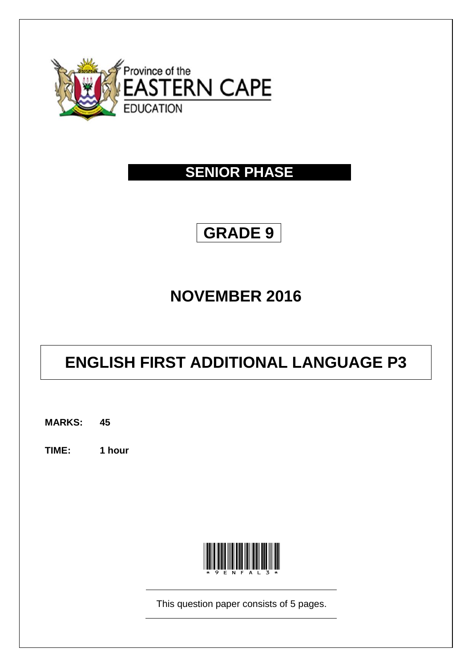

## **SENIOR PHASE**

## **GRADE 9**

# **NOVEMBER 2016**

# **ENGLISH FIRST ADDITIONAL LANGUAGE P3**

**MARKS: 45**

**TIME: 1 hour**



This question paper consists of 5 pages.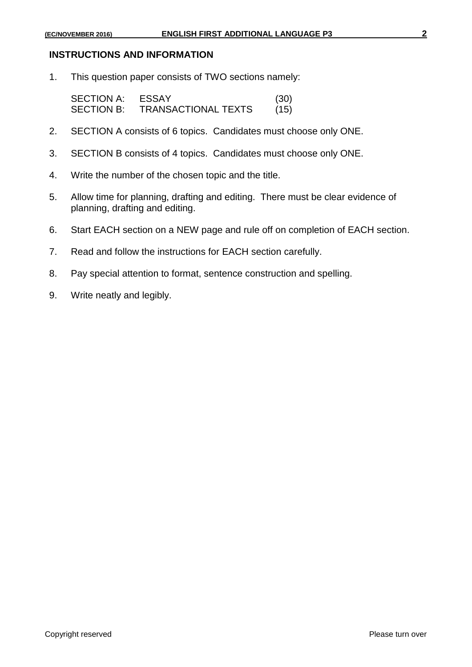## **INSTRUCTIONS AND INFORMATION**

1. This question paper consists of TWO sections namely:

| <b>SECTION A:</b> | <b>ESSAY</b>               | (30) |
|-------------------|----------------------------|------|
| <b>SECTION B:</b> | <b>TRANSACTIONAL TEXTS</b> | (15) |

- 2. SECTION A consists of 6 topics. Candidates must choose only ONE.
- 3. SECTION B consists of 4 topics. Candidates must choose only ONE.
- 4. Write the number of the chosen topic and the title.
- 5. Allow time for planning, drafting and editing. There must be clear evidence of planning, drafting and editing.
- 6. Start EACH section on a NEW page and rule off on completion of EACH section.
- 7. Read and follow the instructions for EACH section carefully.
- 8. Pay special attention to format, sentence construction and spelling.
- 9. Write neatly and legibly.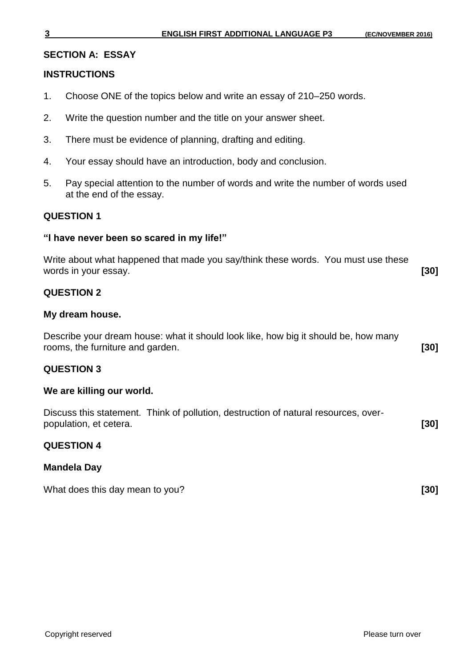#### **SECTION A: ESSAY**

#### **INSTRUCTIONS**

- 1. Choose ONE of the topics below and write an essay of 210–250 words.
- 2. Write the question number and the title on your answer sheet.
- 3. There must be evidence of planning, drafting and editing.
- 4. Your essay should have an introduction, body and conclusion.
- 5. Pay special attention to the number of words and write the number of words used at the end of the essay.

#### **QUESTION 1**

#### **"I have never been so scared in my life!"**

| Write about what happened that made you say/think these words. You must use these |      |
|-----------------------------------------------------------------------------------|------|
| words in your essay.                                                              | [30] |

## **QUESTION 2**

#### **My dream house.**

Describe your dream house: what it should look like, how big it should be, how many rooms, the furniture and garden. **[30]**

## **QUESTION 3**

#### **We are killing our world.**

|                        | Discuss this statement. Think of pollution, destruction of natural resources, over- |        |
|------------------------|-------------------------------------------------------------------------------------|--------|
| population, et cetera. |                                                                                     | $[30]$ |

## **QUESTION 4**

## **Mandela Day**

What does this day mean to you? **[30] [30]**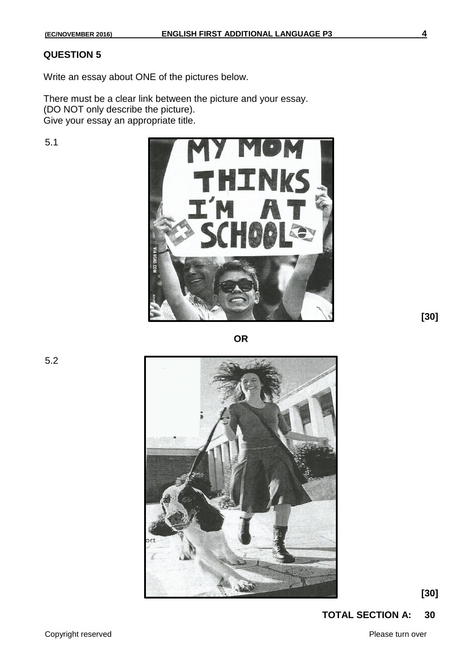## **QUESTION 5**

Write an essay about ONE of the pictures below.

There must be a clear link between the picture and your essay. (DO NOT only describe the picture). Give your essay an appropriate title.

5.1



**[30]**

**OR**

5.2



**[30]**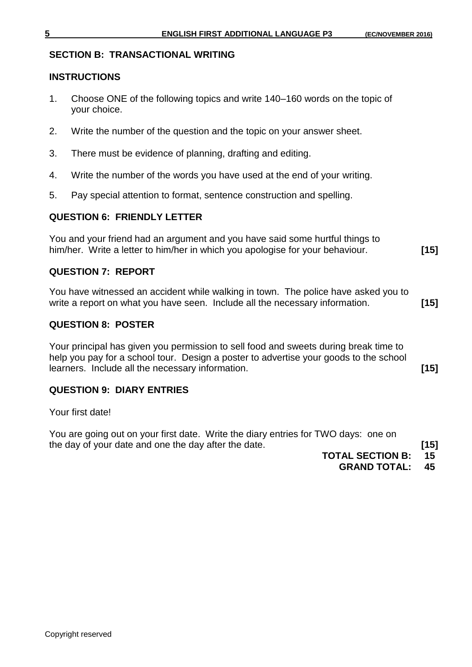## **SECTION B: TRANSACTIONAL WRITING**

## **INSTRUCTIONS**

- 1. Choose ONE of the following topics and write 140–160 words on the topic of your choice.
- 2. Write the number of the question and the topic on your answer sheet.
- 3. There must be evidence of planning, drafting and editing.
- 4. Write the number of the words you have used at the end of your writing.
- 5. Pay special attention to format, sentence construction and spelling.

## **QUESTION 6: FRIENDLY LETTER**

You and your friend had an argument and you have said some hurtful things to him/her. Write a letter to him/her in which you apologise for your behaviour. **[15]**

## **QUESTION 7: REPORT**

You have witnessed an accident while walking in town. The police have asked you to write a report on what you have seen. Include all the necessary information. **[15]**

## **QUESTION 8: POSTER**

Your principal has given you permission to sell food and sweets during break time to help you pay for a school tour. Design a poster to advertise your goods to the school learners. Include all the necessary information. **[15]**

## **QUESTION 9: DIARY ENTRIES**

Your first date!

You are going out on your first date. Write the diary entries for TWO days: one on the day of your date and one the day after the date. **[15]**

**TOTAL SECTION B: 15**

**GRAND TOTAL: 45**